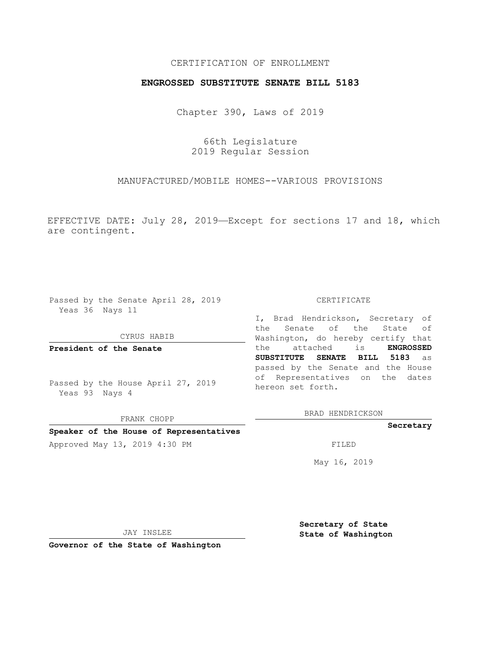## CERTIFICATION OF ENROLLMENT

## **ENGROSSED SUBSTITUTE SENATE BILL 5183**

Chapter 390, Laws of 2019

66th Legislature 2019 Regular Session

MANUFACTURED/MOBILE HOMES--VARIOUS PROVISIONS

EFFECTIVE DATE: July 28, 2019—Except for sections 17 and 18, which are contingent.

Passed by the Senate April 28, 2019 Yeas 36 Nays 11

#### CYRUS HABIB

**President of the Senate**

Passed by the House April 27, 2019 Yeas 93 Nays 4

FRANK CHOPP **Speaker of the House of Representatives**

## CERTIFICATE

I, Brad Hendrickson, Secretary of the Senate of the State of Washington, do hereby certify that the attached is **ENGROSSED SUBSTITUTE SENATE BILL 5183** as passed by the Senate and the House of Representatives on the dates hereon set forth.

BRAD HENDRICKSON

### **Secretary**

Approved May 13, 2019 4:30 PM FILED

May 16, 2019

JAY INSLEE

**Governor of the State of Washington**

**Secretary of State State of Washington**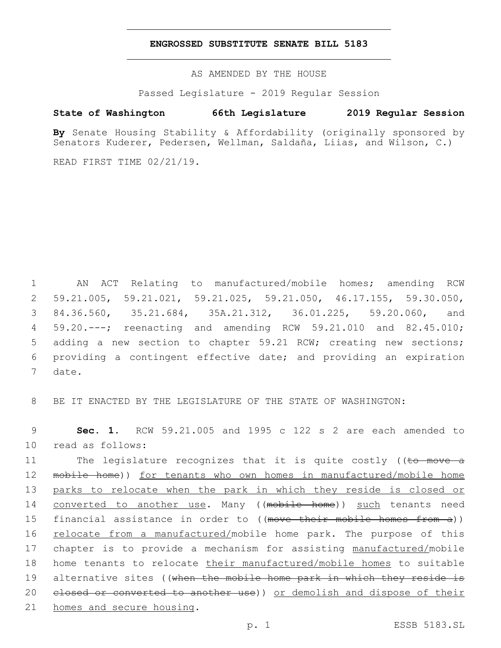### **ENGROSSED SUBSTITUTE SENATE BILL 5183**

AS AMENDED BY THE HOUSE

Passed Legislature - 2019 Regular Session

# **State of Washington 66th Legislature 2019 Regular Session**

**By** Senate Housing Stability & Affordability (originally sponsored by Senators Kuderer, Pedersen, Wellman, Saldaña, Liias, and Wilson, C.)

READ FIRST TIME 02/21/19.

 AN ACT Relating to manufactured/mobile homes; amending RCW 59.21.005, 59.21.021, 59.21.025, 59.21.050, 46.17.155, 59.30.050, 84.36.560, 35.21.684, 35A.21.312, 36.01.225, 59.20.060, and 59.20.---; reenacting and amending RCW 59.21.010 and 82.45.010; adding a new section to chapter 59.21 RCW; creating new sections; providing a contingent effective date; and providing an expiration 7 date.

8 BE IT ENACTED BY THE LEGISLATURE OF THE STATE OF WASHINGTON:

9 **Sec. 1.** RCW 59.21.005 and 1995 c 122 s 2 are each amended to 10 read as follows:

11 The legislature recognizes that it is quite costly ((to move a 12 mobile home)) for tenants who own homes in manufactured/mobile home 13 parks to relocate when the park in which they reside is closed or 14 converted to another use. Many ((mobile home)) such tenants need 15 financial assistance in order to ((move their mobile homes from a)) 16 relocate from a manufactured/mobile home park. The purpose of this 17 chapter is to provide a mechanism for assisting manufactured/mobile 18 home tenants to relocate their manufactured/mobile homes to suitable 19 alternative sites ((when the mobile home park in which they reside is 20 elosed or converted to another use)) or demolish and dispose of their 21 homes and secure housing.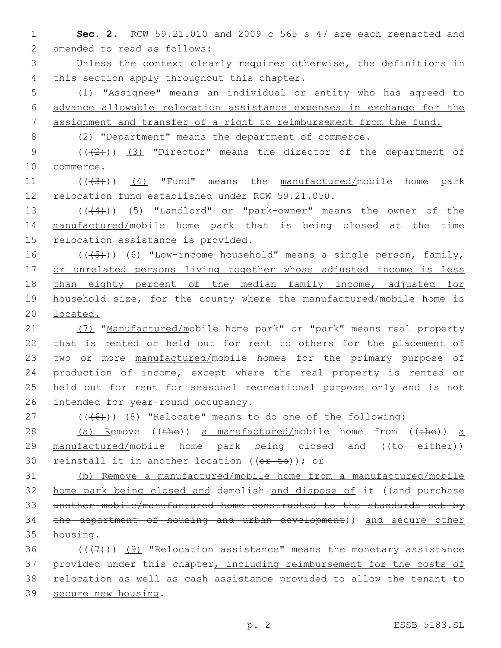1 **Sec. 2.** RCW 59.21.010 and 2009 c 565 s 47 are each reenacted and 2 amended to read as follows:

3 Unless the context clearly requires otherwise, the definitions in 4 this section apply throughout this chapter.

5 (1) "Assignee" means an individual or entity who has agreed to 6 advance allowable relocation assistance expenses in exchange for the 7 assignment and transfer of a right to reimbursement from the fund.

8 (2) "Department" means the department of commerce.

9 (( $(2)$ )) (3) "Director" means the director of the department of 10 commerce.

11 (((43)) (4) "Fund" means the manufactured/mobile home park 12 relocation fund established under RCW 59.21.050.

13 (((4))) (5) "Landlord" or "park-owner" means the owner of the 14 manufactured/mobile home park that is being closed at the time 15 relocation assistance is provided.

16 (((45))) (6) "Low-income household" means a single person, family, 17 or unrelated persons living together whose adjusted income is less 18 than eighty percent of the median family income, adjusted for 19 household size, for the county where the manufactured/mobile home is 20 located.

21 (7) "Manufactured/mobile home park" or "park" means real property that is rented or held out for rent to others for the placement of two or more manufactured/mobile homes for the primary purpose of production of income, except where the real property is rented or held out for rent for seasonal recreational purpose only and is not 26 intended for year-round occupancy.

 $27$  ( $(\overline{6})$ )  $(8)$  "Relocate" means to do one of the following:

28 (a) Remove ((the)) a manufactured/mobile home from ((the)) a 29 manufactured/mobile home park being closed and  $((\text{to}-\text{either}))$ 30 reinstall it in another location  $((\theta \cdot t \theta))$ ; or

31 (b) Remove a manufactured/mobile home from a manufactured/mobile 32 home park being closed and demolish and dispose of it ((and purchase 33 another mobile/manufactured home constructed to the standards set by 34 the department of housing and urban development)) and secure other 35 housing.

36  $((+7+))$  (9) "Relocation assistance" means the monetary assistance 37 provided under this chapter, including reimbursement for the costs of 38 relocation as well as cash assistance provided to allow the tenant to 39 secure new housing.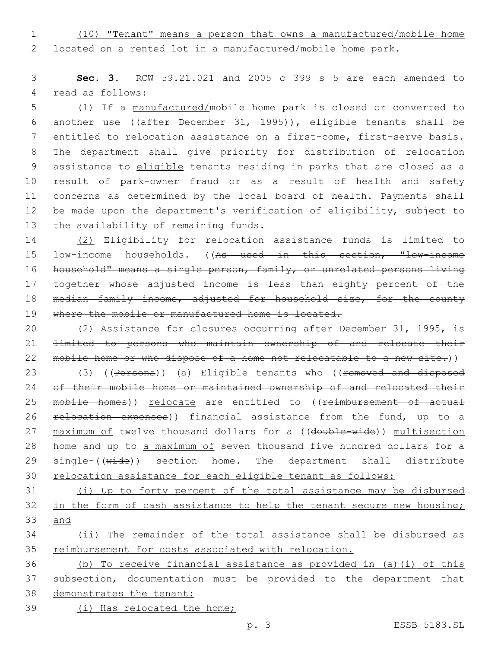1 (10) "Tenant" means a person that owns a manufactured/mobile home 2 located on a rented lot in a manufactured/mobile home park.

3 **Sec. 3.** RCW 59.21.021 and 2005 c 399 s 5 are each amended to 4 read as follows:

 (1) If a manufactured/mobile home park is closed or converted to another use ((after December 31, 1995)), eligible tenants shall be 7 entitled to relocation assistance on a first-come, first-serve basis. The department shall give priority for distribution of relocation assistance to eligible tenants residing in parks that are closed as a result of park-owner fraud or as a result of health and safety concerns as determined by the local board of health. Payments shall be made upon the department's verification of eligibility, subject to 13 the availability of remaining funds.

14 (2) Eligibility for relocation assistance funds is limited to 15 low-income households. ((As used in this section, "low-income 16 household" means a single person, family, or unrelated persons living 17 together whose adjusted income is less than eighty percent of the 18 median family income, adjusted for household size, for the county 19 where the mobile or manufactured home is located.

20 (2) Assistance for closures occurring after December 31, 1995, is 21 limited to persons who maintain ownership of and relocate their 22 mobile home or who dispose of a home not relocatable to a new site.))

23 (3) ((Persons)) (a) Eligible tenants who ((removed and disposed 24 of their mobile home or maintained ownership of and relocated their 25 mobile homes)) relocate are entitled to ((reimbursement of actual 26 relocation expenses)) financial assistance from the fund, up to a 27 maximum of twelve thousand dollars for a ((double-wide)) multisection 28 home and up to a maximum of seven thousand five hundred dollars for a 29 single-((wide)) section home. The department shall distribute 30 relocation assistance for each eligible tenant as follows:

31 (i) Up to forty percent of the total assistance may be disbursed 32 in the form of cash assistance to help the tenant secure new housing; 33 and

34 (ii) The remainder of the total assistance shall be disbursed as 35 reimbursement for costs associated with relocation.

 (b) To receive financial assistance as provided in (a)(i) of this subsection, documentation must be provided to the department that demonstrates the tenant: (i) Has relocated the home;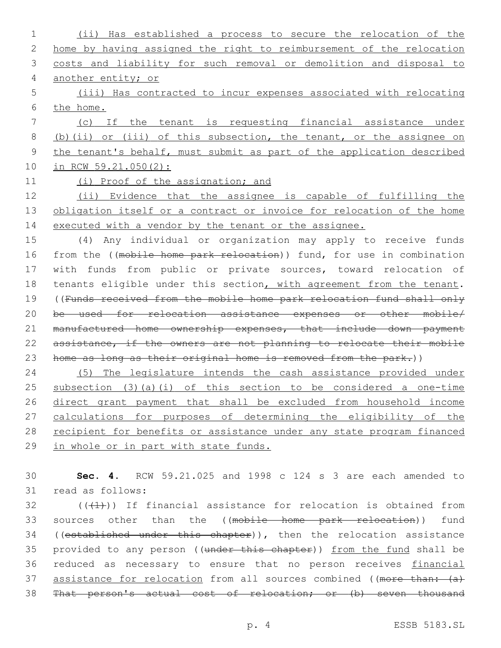(ii) Has established a process to secure the relocation of the home by having assigned the right to reimbursement of the relocation costs and liability for such removal or demolition and disposal to another entity; or (iii) Has contracted to incur expenses associated with relocating the home. (c) If the tenant is requesting financial assistance under (b)(ii) or (iii) of this subsection, the tenant, or the assignee on the tenant's behalf, must submit as part of the application described in RCW 59.21.050(2): (i) Proof of the assignation; and (ii) Evidence that the assignee is capable of fulfilling the 13 obligation itself or a contract or invoice for relocation of the home 14 executed with a vendor by the tenant or the assignee. (4) Any individual or organization may apply to receive funds 16 from the ((mobile home park relocation)) fund, for use in combination with funds from public or private sources, toward relocation of 18 tenants eligible under this section, with agreement from the tenant. ((Funds received from the mobile home park relocation fund shall only be used for relocation assistance expenses or other mobile/ 21 manufactured home ownership expenses, that include down payment assistance, if the owners are not planning to relocate their mobile home as long as their original home is removed from the park.)) (5) The legislature intends the cash assistance provided under subsection (3)(a)(i) of this section to be considered a one-time direct grant payment that shall be excluded from household income calculations for purposes of determining the eligibility of the 28 recipient for benefits or assistance under any state program financed in whole or in part with state funds. **Sec. 4.** RCW 59.21.025 and 1998 c 124 s 3 are each amended to

31 read as follows:

 (( $(41)$ )) If financial assistance for relocation is obtained from 33 sources other than the ((mobile home park relocation)) fund 34 ((established under this chapter)), then the relocation assistance 35 provided to any person ((under this chapter)) from the fund shall be 36 reduced as necessary to ensure that no person receives financial 37 assistance for relocation from all sources combined ((more than:  $\{a\}$ ) That person's actual cost of relocation; or (b) seven thousand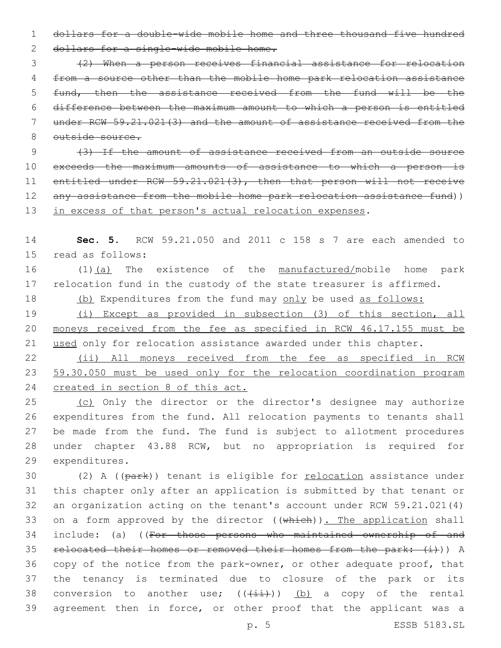1 dollars for a double-wide mobile home and three thousand five hundred

```
2 dollars for a single-wide mobile home.
```
 (2) When a person receives financial assistance for relocation from a source other than the mobile home park relocation assistance 5 fund, then the assistance received from the fund will be the difference between the maximum amount to which a person is entitled under RCW 59.21.021(3) and the amount of assistance received from the outside source.

9 (3) If the amount of assistance received from an outside source 10 exceeds the maximum amounts of assistance to which a person is 11 entitled under RCW 59.21.021(3), then that person will not receive 12 any assistance from the mobile home park relocation assistance fund)) 13 in excess of that person's actual relocation expenses.

14 **Sec. 5.** RCW 59.21.050 and 2011 c 158 s 7 are each amended to 15 read as follows:

16 (1)(a) The existence of the manufactured/mobile home park 17 relocation fund in the custody of the state treasurer is affirmed.

- 18 (b) Expenditures from the fund may only be used as follows:
- 19 (i) Except as provided in subsection (3) of this section, all 20 moneys received from the fee as specified in RCW 46.17.155 must be 21 used only for relocation assistance awarded under this chapter.

22 (ii) All moneys received from the fee as specified in RCW 23 59.30.050 must be used only for the relocation coordination program 24 created in section 8 of this act.

25 (c) Only the director or the director's designee may authorize 26 expenditures from the fund. All relocation payments to tenants shall 27 be made from the fund. The fund is subject to allotment procedures 28 under chapter 43.88 RCW, but no appropriation is required for 29 expenditures.

30 (2) A (( $\frac{1}{p^2}$ ) tenant is eligible for <u>relocation</u> assistance under 31 this chapter only after an application is submitted by that tenant or 32 an organization acting on the tenant's account under RCW 59.21.021(4) 33 on a form approved by the director ((which)). The application shall 34 include: (a) ((For those persons who maintained ownership of and 35 relocated their homes or removed their homes from the park: (i)) A 36 copy of the notice from the park-owner, or other adequate proof, that 37 the tenancy is terminated due to closure of the park or its 38 conversion to another use;  $((+i+1)(i))$  (b) a copy of the rental 39 agreement then in force, or other proof that the applicant was a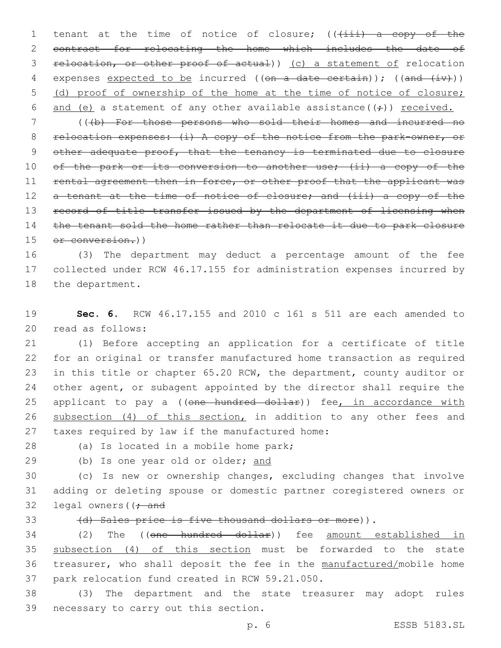1 tenant at the time of notice of closure; (( $(i$ iii) a copy of the 2 contract for relocating the home which includes the date of 3 relocation, or other proof of actual)) (c) a statement of relocation 4 expenses expected to be incurred (( $en$  a date certain)); ( $(an + iv)$ ) 5 (d) proof of ownership of the home at the time of notice of closure; 6 and (e) a statement of any other available assistance( $(\div)$ ) received.

7 (((b) For those persons who sold their homes and incurred no 8 relocation expenses: (i) A copy of the notice from the park-owner, or 9 other adequate proof, that the tenancy is terminated due to closure 10 of the park or its conversion to another use; (ii) a copy of the 11 rental agreement then in force, or other proof that the applicant was 12 a tenant at the time of notice of closure; and (iii) a copy of the 13 record of title transfer issued by the department of licensing when 14 the tenant sold the home rather than relocate it due to park closure 15 or conversion.))

16 (3) The department may deduct a percentage amount of the fee 17 collected under RCW 46.17.155 for administration expenses incurred by 18 the department.

19 **Sec. 6.** RCW 46.17.155 and 2010 c 161 s 511 are each amended to 20 read as follows:

21 (1) Before accepting an application for a certificate of title 22 for an original or transfer manufactured home transaction as required 23 in this title or chapter 65.20 RCW, the department, county auditor or 24 other agent, or subagent appointed by the director shall require the 25 applicant to pay a ((one hundred dollar)) fee, in accordance with 26 subsection (4) of this section, in addition to any other fees and 27 taxes required by law if the manufactured home:

28 (a) Is located in a mobile home park;

29 (b) Is one year old or older; and

30 (c) Is new or ownership changes, excluding changes that involve 31 adding or deleting spouse or domestic partner coregistered owners or 32 legal owners  $($   $\frac{1}{2}$  and

33 (d) Sales price is five thousand dollars or more)).

 (2) The ((one hundred dollar)) fee amount established in subsection (4) of this section must be forwarded to the state treasurer, who shall deposit the fee in the manufactured/mobile home 37 park relocation fund created in RCW 59.21.050.

38 (3) The department and the state treasurer may adopt rules 39 necessary to carry out this section.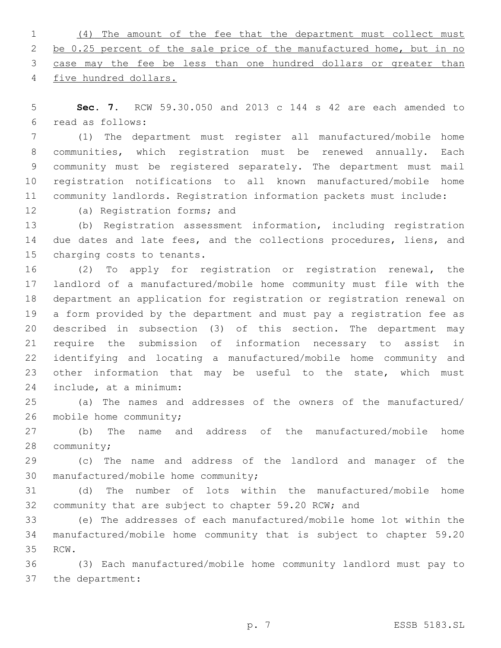(4) The amount of the fee that the department must collect must 2 be 0.25 percent of the sale price of the manufactured home, but in no case may the fee be less than one hundred dollars or greater than five hundred dollars.

 **Sec. 7.** RCW 59.30.050 and 2013 c 144 s 42 are each amended to read as follows:6

 (1) The department must register all manufactured/mobile home communities, which registration must be renewed annually. Each community must be registered separately. The department must mail registration notifications to all known manufactured/mobile home community landlords. Registration information packets must include:

12 (a) Registration forms; and

 (b) Registration assessment information, including registration 14 due dates and late fees, and the collections procedures, liens, and 15 charging costs to tenants.

 (2) To apply for registration or registration renewal, the landlord of a manufactured/mobile home community must file with the department an application for registration or registration renewal on a form provided by the department and must pay a registration fee as described in subsection (3) of this section. The department may require the submission of information necessary to assist in identifying and locating a manufactured/mobile home community and other information that may be useful to the state, which must include, at a minimum:24

 (a) The names and addresses of the owners of the manufactured/ 26 mobile home community;

 (b) The name and address of the manufactured/mobile home 28 community;

 (c) The name and address of the landlord and manager of the 30 manufactured/mobile home community;

 (d) The number of lots within the manufactured/mobile home community that are subject to chapter 59.20 RCW; and

 (e) The addresses of each manufactured/mobile home lot within the manufactured/mobile home community that is subject to chapter 59.20 35 RCW.

 (3) Each manufactured/mobile home community landlord must pay to 37 the department: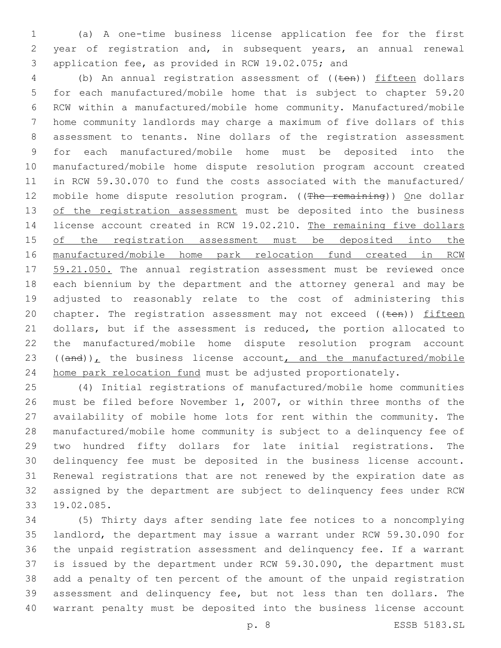(a) A one-time business license application fee for the first year of registration and, in subsequent years, an annual renewal 3 application fee, as provided in RCW 19.02.075; and

4 (b) An annual registration assessment of ((ten)) fifteen dollars for each manufactured/mobile home that is subject to chapter 59.20 RCW within a manufactured/mobile home community. Manufactured/mobile home community landlords may charge a maximum of five dollars of this assessment to tenants. Nine dollars of the registration assessment for each manufactured/mobile home must be deposited into the manufactured/mobile home dispute resolution program account created in RCW 59.30.070 to fund the costs associated with the manufactured/ 12 mobile home dispute resolution program. ((The remaining)) One dollar 13 of the registration assessment must be deposited into the business license account created in RCW 19.02.210. The remaining five dollars 15 of the registration assessment must be deposited into the manufactured/mobile home park relocation fund created in RCW 17 59.21.050. The annual registration assessment must be reviewed once each biennium by the department and the attorney general and may be adjusted to reasonably relate to the cost of administering this 20 chapter. The registration assessment may not exceed  $((\text{ten}))$  fifteen dollars, but if the assessment is reduced, the portion allocated to the manufactured/mobile home dispute resolution program account ((and)), the business license account, and the manufactured/mobile home park relocation fund must be adjusted proportionately.

 (4) Initial registrations of manufactured/mobile home communities must be filed before November 1, 2007, or within three months of the availability of mobile home lots for rent within the community. The manufactured/mobile home community is subject to a delinquency fee of two hundred fifty dollars for late initial registrations. The delinquency fee must be deposited in the business license account. Renewal registrations that are not renewed by the expiration date as assigned by the department are subject to delinquency fees under RCW 19.02.085.33

 (5) Thirty days after sending late fee notices to a noncomplying landlord, the department may issue a warrant under RCW 59.30.090 for the unpaid registration assessment and delinquency fee. If a warrant is issued by the department under RCW 59.30.090, the department must add a penalty of ten percent of the amount of the unpaid registration assessment and delinquency fee, but not less than ten dollars. The warrant penalty must be deposited into the business license account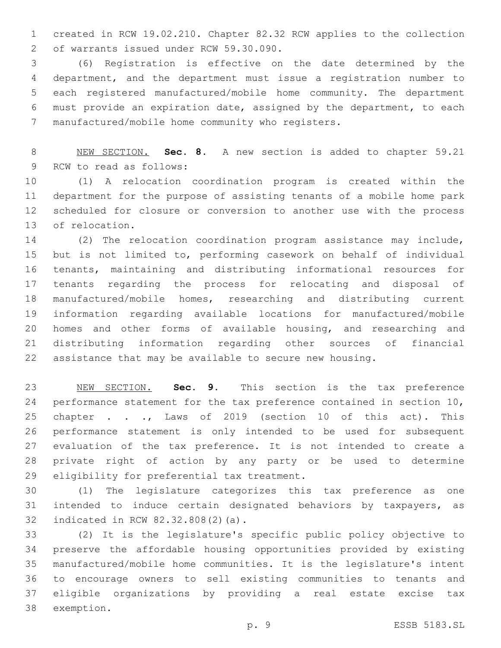created in RCW 19.02.210. Chapter 82.32 RCW applies to the collection 2 of warrants issued under RCW 59.30.090.

 (6) Registration is effective on the date determined by the department, and the department must issue a registration number to each registered manufactured/mobile home community. The department must provide an expiration date, assigned by the department, to each manufactured/mobile home community who registers.7

 NEW SECTION. **Sec. 8.** A new section is added to chapter 59.21 9 RCW to read as follows:

 (1) A relocation coordination program is created within the department for the purpose of assisting tenants of a mobile home park scheduled for closure or conversion to another use with the process 13 of relocation.

 (2) The relocation coordination program assistance may include, but is not limited to, performing casework on behalf of individual tenants, maintaining and distributing informational resources for tenants regarding the process for relocating and disposal of manufactured/mobile homes, researching and distributing current information regarding available locations for manufactured/mobile homes and other forms of available housing, and researching and distributing information regarding other sources of financial assistance that may be available to secure new housing.

 NEW SECTION. **Sec. 9.** This section is the tax preference 24 performance statement for the tax preference contained in section 10, 25 chapter . . ., Laws of 2019 (section 10 of this act). This performance statement is only intended to be used for subsequent evaluation of the tax preference. It is not intended to create a private right of action by any party or be used to determine eligibility for preferential tax treatment.

 (1) The legislature categorizes this tax preference as one intended to induce certain designated behaviors by taxpayers, as 32 indicated in RCW 82.32.808(2)(a).

 (2) It is the legislature's specific public policy objective to preserve the affordable housing opportunities provided by existing manufactured/mobile home communities. It is the legislature's intent to encourage owners to sell existing communities to tenants and eligible organizations by providing a real estate excise tax 38 exemption.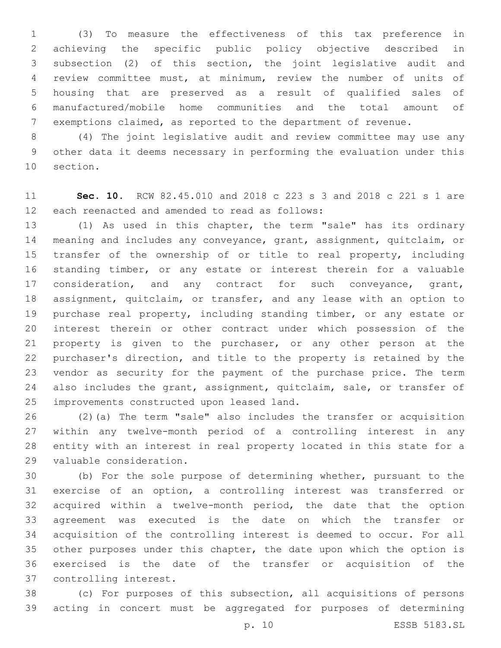(3) To measure the effectiveness of this tax preference in achieving the specific public policy objective described in subsection (2) of this section, the joint legislative audit and review committee must, at minimum, review the number of units of housing that are preserved as a result of qualified sales of manufactured/mobile home communities and the total amount of exemptions claimed, as reported to the department of revenue.

 (4) The joint legislative audit and review committee may use any other data it deems necessary in performing the evaluation under this 10 section.

 **Sec. 10.** RCW 82.45.010 and 2018 c 223 s 3 and 2018 c 221 s 1 are 12 each reenacted and amended to read as follows:

 (1) As used in this chapter, the term "sale" has its ordinary meaning and includes any conveyance, grant, assignment, quitclaim, or transfer of the ownership of or title to real property, including standing timber, or any estate or interest therein for a valuable 17 consideration, and any contract for such conveyance, grant, assignment, quitclaim, or transfer, and any lease with an option to purchase real property, including standing timber, or any estate or interest therein or other contract under which possession of the property is given to the purchaser, or any other person at the purchaser's direction, and title to the property is retained by the vendor as security for the payment of the purchase price. The term 24 also includes the grant, assignment, quitclaim, sale, or transfer of 25 improvements constructed upon leased land.

 (2)(a) The term "sale" also includes the transfer or acquisition within any twelve-month period of a controlling interest in any entity with an interest in real property located in this state for a 29 valuable consideration.

 (b) For the sole purpose of determining whether, pursuant to the exercise of an option, a controlling interest was transferred or acquired within a twelve-month period, the date that the option agreement was executed is the date on which the transfer or acquisition of the controlling interest is deemed to occur. For all other purposes under this chapter, the date upon which the option is exercised is the date of the transfer or acquisition of the 37 controlling interest.

 (c) For purposes of this subsection, all acquisitions of persons acting in concert must be aggregated for purposes of determining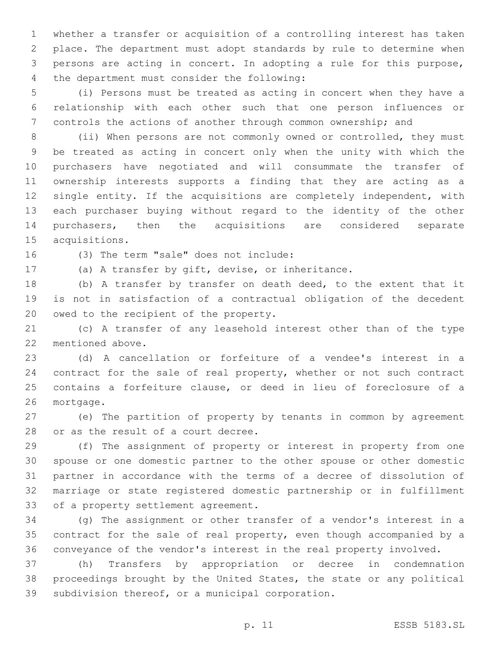whether a transfer or acquisition of a controlling interest has taken place. The department must adopt standards by rule to determine when persons are acting in concert. In adopting a rule for this purpose, 4 the department must consider the following:

 (i) Persons must be treated as acting in concert when they have a relationship with each other such that one person influences or controls the actions of another through common ownership; and

 (ii) When persons are not commonly owned or controlled, they must be treated as acting in concert only when the unity with which the purchasers have negotiated and will consummate the transfer of ownership interests supports a finding that they are acting as a single entity. If the acquisitions are completely independent, with each purchaser buying without regard to the identity of the other purchasers, then the acquisitions are considered separate 15 acquisitions.

16 (3) The term "sale" does not include:

(a) A transfer by gift, devise, or inheritance.

 (b) A transfer by transfer on death deed, to the extent that it is not in satisfaction of a contractual obligation of the decedent 20 owed to the recipient of the property.

 (c) A transfer of any leasehold interest other than of the type 22 mentioned above.

 (d) A cancellation or forfeiture of a vendee's interest in a contract for the sale of real property, whether or not such contract contains a forfeiture clause, or deed in lieu of foreclosure of a 26 mortgage.

 (e) The partition of property by tenants in common by agreement 28 or as the result of a court decree.

 (f) The assignment of property or interest in property from one spouse or one domestic partner to the other spouse or other domestic partner in accordance with the terms of a decree of dissolution of marriage or state registered domestic partnership or in fulfillment 33 of a property settlement agreement.

 (g) The assignment or other transfer of a vendor's interest in a contract for the sale of real property, even though accompanied by a conveyance of the vendor's interest in the real property involved.

 (h) Transfers by appropriation or decree in condemnation proceedings brought by the United States, the state or any political 39 subdivision thereof, or a municipal corporation.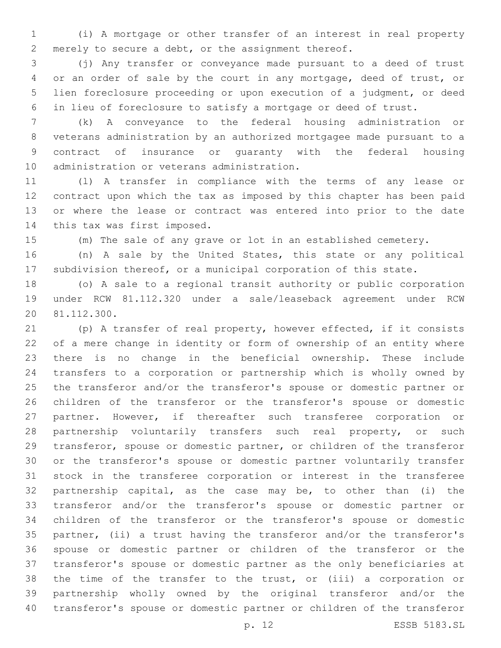(i) A mortgage or other transfer of an interest in real property merely to secure a debt, or the assignment thereof.

 (j) Any transfer or conveyance made pursuant to a deed of trust or an order of sale by the court in any mortgage, deed of trust, or lien foreclosure proceeding or upon execution of a judgment, or deed in lieu of foreclosure to satisfy a mortgage or deed of trust.

 (k) A conveyance to the federal housing administration or veterans administration by an authorized mortgagee made pursuant to a contract of insurance or guaranty with the federal housing 10 administration or veterans administration.

 (l) A transfer in compliance with the terms of any lease or contract upon which the tax as imposed by this chapter has been paid or where the lease or contract was entered into prior to the date 14 this tax was first imposed.

(m) The sale of any grave or lot in an established cemetery.

 (n) A sale by the United States, this state or any political subdivision thereof, or a municipal corporation of this state.

 (o) A sale to a regional transit authority or public corporation under RCW 81.112.320 under a sale/leaseback agreement under RCW 81.112.300.20

 (p) A transfer of real property, however effected, if it consists of a mere change in identity or form of ownership of an entity where there is no change in the beneficial ownership. These include transfers to a corporation or partnership which is wholly owned by the transferor and/or the transferor's spouse or domestic partner or children of the transferor or the transferor's spouse or domestic partner. However, if thereafter such transferee corporation or 28 partnership voluntarily transfers such real property, or such transferor, spouse or domestic partner, or children of the transferor or the transferor's spouse or domestic partner voluntarily transfer stock in the transferee corporation or interest in the transferee partnership capital, as the case may be, to other than (i) the transferor and/or the transferor's spouse or domestic partner or children of the transferor or the transferor's spouse or domestic partner, (ii) a trust having the transferor and/or the transferor's spouse or domestic partner or children of the transferor or the transferor's spouse or domestic partner as the only beneficiaries at the time of the transfer to the trust, or (iii) a corporation or partnership wholly owned by the original transferor and/or the transferor's spouse or domestic partner or children of the transferor

p. 12 ESSB 5183.SL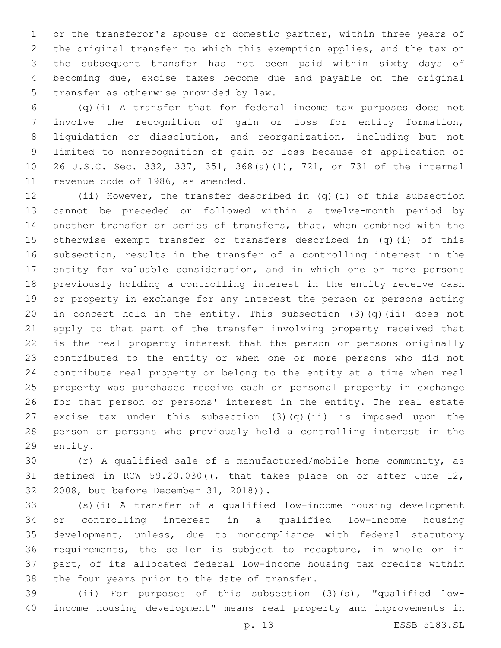or the transferor's spouse or domestic partner, within three years of the original transfer to which this exemption applies, and the tax on the subsequent transfer has not been paid within sixty days of becoming due, excise taxes become due and payable on the original 5 transfer as otherwise provided by law.

 (q)(i) A transfer that for federal income tax purposes does not involve the recognition of gain or loss for entity formation, liquidation or dissolution, and reorganization, including but not limited to nonrecognition of gain or loss because of application of 26 U.S.C. Sec. 332, 337, 351, 368(a)(1), 721, or 731 of the internal 11 revenue code of 1986, as amended.

 (ii) However, the transfer described in (q)(i) of this subsection cannot be preceded or followed within a twelve-month period by another transfer or series of transfers, that, when combined with the otherwise exempt transfer or transfers described in (q)(i) of this subsection, results in the transfer of a controlling interest in the entity for valuable consideration, and in which one or more persons previously holding a controlling interest in the entity receive cash or property in exchange for any interest the person or persons acting in concert hold in the entity. This subsection (3)(q)(ii) does not apply to that part of the transfer involving property received that is the real property interest that the person or persons originally contributed to the entity or when one or more persons who did not contribute real property or belong to the entity at a time when real property was purchased receive cash or personal property in exchange for that person or persons' interest in the entity. The real estate excise tax under this subsection (3)(q)(ii) is imposed upon the person or persons who previously held a controlling interest in the 29 entity.

 (r) A qualified sale of a manufactured/mobile home community, as 31 defined in RCW 59.20.030( $\sqrt{ }$  that takes place on or after June 12, 32 2008, but before December 31, 2018)).

 (s)(i) A transfer of a qualified low-income housing development or controlling interest in a qualified low-income housing development, unless, due to noncompliance with federal statutory requirements, the seller is subject to recapture, in whole or in part, of its allocated federal low-income housing tax credits within 38 the four years prior to the date of transfer.

 (ii) For purposes of this subsection (3)(s), "qualified low-income housing development" means real property and improvements in

p. 13 ESSB 5183.SL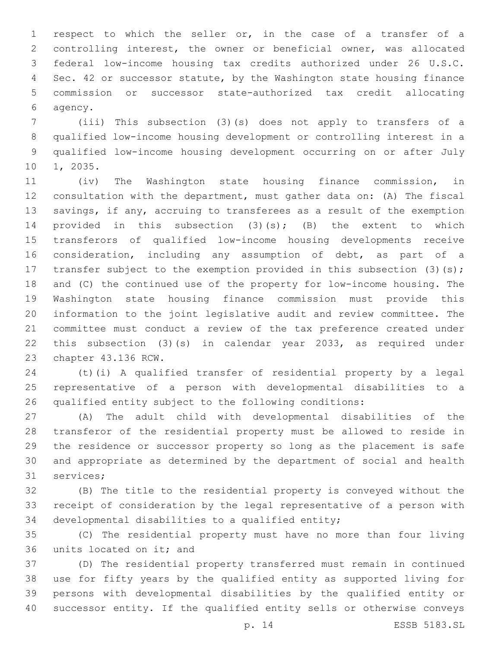respect to which the seller or, in the case of a transfer of a controlling interest, the owner or beneficial owner, was allocated federal low-income housing tax credits authorized under 26 U.S.C. Sec. 42 or successor statute, by the Washington state housing finance commission or successor state-authorized tax credit allocating 6 agency.

 (iii) This subsection (3)(s) does not apply to transfers of a qualified low-income housing development or controlling interest in a qualified low-income housing development occurring on or after July 10 1, 2035.

 (iv) The Washington state housing finance commission, in consultation with the department, must gather data on: (A) The fiscal savings, if any, accruing to transferees as a result of the exemption 14 provided in this subsection (3)(s); (B) the extent to which transferors of qualified low-income housing developments receive consideration, including any assumption of debt, as part of a 17 transfer subject to the exemption provided in this subsection (3)(s); and (C) the continued use of the property for low-income housing. The Washington state housing finance commission must provide this information to the joint legislative audit and review committee. The committee must conduct a review of the tax preference created under this subsection (3)(s) in calendar year 2033, as required under 23 chapter 43.136 RCW.

 (t)(i) A qualified transfer of residential property by a legal representative of a person with developmental disabilities to a qualified entity subject to the following conditions:

 (A) The adult child with developmental disabilities of the transferor of the residential property must be allowed to reside in the residence or successor property so long as the placement is safe and appropriate as determined by the department of social and health 31 services;

 (B) The title to the residential property is conveyed without the receipt of consideration by the legal representative of a person with 34 developmental disabilities to a qualified entity;

 (C) The residential property must have no more than four living 36 units located on it; and

 (D) The residential property transferred must remain in continued use for fifty years by the qualified entity as supported living for persons with developmental disabilities by the qualified entity or successor entity. If the qualified entity sells or otherwise conveys

p. 14 ESSB 5183.SL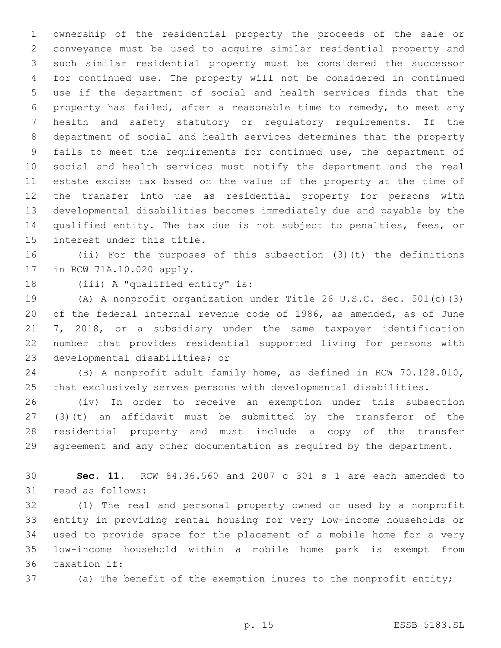ownership of the residential property the proceeds of the sale or conveyance must be used to acquire similar residential property and such similar residential property must be considered the successor for continued use. The property will not be considered in continued use if the department of social and health services finds that the property has failed, after a reasonable time to remedy, to meet any health and safety statutory or regulatory requirements. If the department of social and health services determines that the property fails to meet the requirements for continued use, the department of social and health services must notify the department and the real estate excise tax based on the value of the property at the time of the transfer into use as residential property for persons with developmental disabilities becomes immediately due and payable by the qualified entity. The tax due is not subject to penalties, fees, or 15 interest under this title.

 (ii) For the purposes of this subsection (3)(t) the definitions 17 in RCW 71A.10.020 apply.

18 (iii) A "qualified entity" is:

 (A) A nonprofit organization under Title 26 U.S.C. Sec. 501(c)(3) of the federal internal revenue code of 1986, as amended, as of June 7, 2018, or a subsidiary under the same taxpayer identification number that provides residential supported living for persons with 23 developmental disabilities; or

 (B) A nonprofit adult family home, as defined in RCW 70.128.010, that exclusively serves persons with developmental disabilities.

 (iv) In order to receive an exemption under this subsection (3)(t) an affidavit must be submitted by the transferor of the residential property and must include a copy of the transfer agreement and any other documentation as required by the department.

 **Sec. 11.** RCW 84.36.560 and 2007 c 301 s 1 are each amended to 31 read as follows:

 (1) The real and personal property owned or used by a nonprofit entity in providing rental housing for very low-income households or used to provide space for the placement of a mobile home for a very low-income household within a mobile home park is exempt from 36 taxation if:

(a) The benefit of the exemption inures to the nonprofit entity;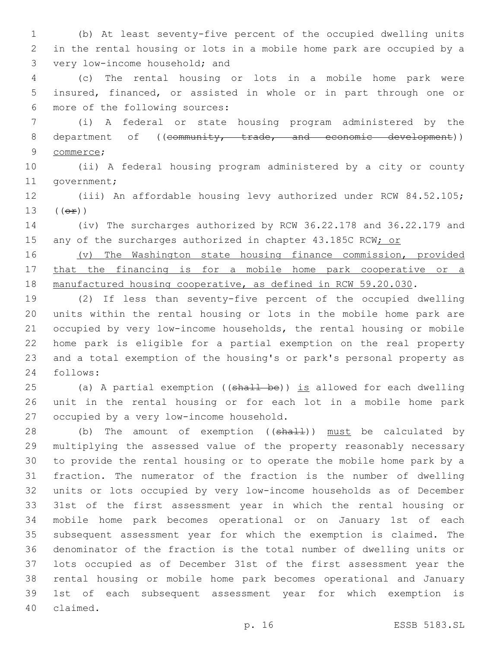(b) At least seventy-five percent of the occupied dwelling units in the rental housing or lots in a mobile home park are occupied by a 3 very low-income household; and

 (c) The rental housing or lots in a mobile home park were insured, financed, or assisted in whole or in part through one or 6 more of the following sources:

 (i) A federal or state housing program administered by the 8 department of ((community, trade, and economic development)) 9 commerce;

 (ii) A federal housing program administered by a city or county 11 government;

 (iii) An affordable housing levy authorized under RCW 84.52.105; (( $\Theta$  $\hat{r}$ ))

 (iv) The surcharges authorized by RCW 36.22.178 and 36.22.179 and 15 any of the surcharges authorized in chapter 43.185C RCW; or

 (v) The Washington state housing finance commission, provided that the financing is for a mobile home park cooperative or a 18 manufactured housing cooperative, as defined in RCW 59.20.030.

 (2) If less than seventy-five percent of the occupied dwelling units within the rental housing or lots in the mobile home park are occupied by very low-income households, the rental housing or mobile home park is eligible for a partial exemption on the real property and a total exemption of the housing's or park's personal property as follows:24

25 (a) A partial exemption ((shall be)) is allowed for each dwelling unit in the rental housing or for each lot in a mobile home park 27 occupied by a very low-income household.

28 (b) The amount of exemption ((shall)) must be calculated by multiplying the assessed value of the property reasonably necessary to provide the rental housing or to operate the mobile home park by a fraction. The numerator of the fraction is the number of dwelling units or lots occupied by very low-income households as of December 31st of the first assessment year in which the rental housing or mobile home park becomes operational or on January 1st of each subsequent assessment year for which the exemption is claimed. The denominator of the fraction is the total number of dwelling units or lots occupied as of December 31st of the first assessment year the rental housing or mobile home park becomes operational and January 1st of each subsequent assessment year for which exemption is 40 claimed.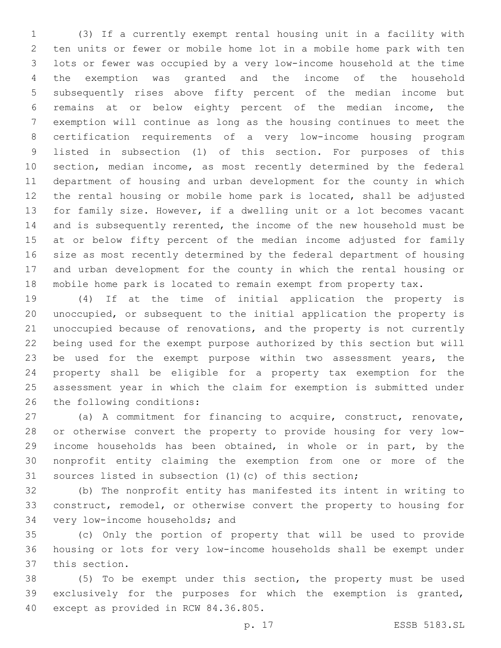(3) If a currently exempt rental housing unit in a facility with ten units or fewer or mobile home lot in a mobile home park with ten lots or fewer was occupied by a very low-income household at the time the exemption was granted and the income of the household subsequently rises above fifty percent of the median income but remains at or below eighty percent of the median income, the exemption will continue as long as the housing continues to meet the certification requirements of a very low-income housing program listed in subsection (1) of this section. For purposes of this section, median income, as most recently determined by the federal department of housing and urban development for the county in which the rental housing or mobile home park is located, shall be adjusted for family size. However, if a dwelling unit or a lot becomes vacant and is subsequently rerented, the income of the new household must be at or below fifty percent of the median income adjusted for family size as most recently determined by the federal department of housing and urban development for the county in which the rental housing or mobile home park is located to remain exempt from property tax.

 (4) If at the time of initial application the property is unoccupied, or subsequent to the initial application the property is unoccupied because of renovations, and the property is not currently being used for the exempt purpose authorized by this section but will 23 be used for the exempt purpose within two assessment years, the property shall be eligible for a property tax exemption for the assessment year in which the claim for exemption is submitted under 26 the following conditions:

 (a) A commitment for financing to acquire, construct, renovate, or otherwise convert the property to provide housing for very low- income households has been obtained, in whole or in part, by the nonprofit entity claiming the exemption from one or more of the sources listed in subsection (1)(c) of this section;

 (b) The nonprofit entity has manifested its intent in writing to construct, remodel, or otherwise convert the property to housing for 34 very low-income households; and

 (c) Only the portion of property that will be used to provide housing or lots for very low-income households shall be exempt under 37 this section.

 (5) To be exempt under this section, the property must be used exclusively for the purposes for which the exemption is granted, 40 except as provided in RCW 84.36.805.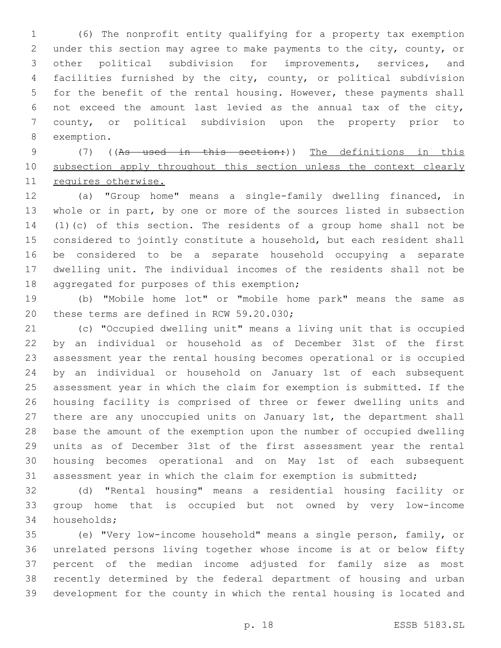(6) The nonprofit entity qualifying for a property tax exemption under this section may agree to make payments to the city, county, or other political subdivision for improvements, services, and facilities furnished by the city, county, or political subdivision for the benefit of the rental housing. However, these payments shall not exceed the amount last levied as the annual tax of the city, county, or political subdivision upon the property prior to 8 exemption.

 (7) ((As used in this section:)) The definitions in this 10 subsection apply throughout this section unless the context clearly requires otherwise.

 (a) "Group home" means a single-family dwelling financed, in whole or in part, by one or more of the sources listed in subsection (1)(c) of this section. The residents of a group home shall not be considered to jointly constitute a household, but each resident shall be considered to be a separate household occupying a separate dwelling unit. The individual incomes of the residents shall not be 18 aggregated for purposes of this exemption;

 (b) "Mobile home lot" or "mobile home park" means the same as 20 these terms are defined in RCW 59.20.030;

 (c) "Occupied dwelling unit" means a living unit that is occupied by an individual or household as of December 31st of the first assessment year the rental housing becomes operational or is occupied by an individual or household on January 1st of each subsequent assessment year in which the claim for exemption is submitted. If the housing facility is comprised of three or fewer dwelling units and there are any unoccupied units on January 1st, the department shall base the amount of the exemption upon the number of occupied dwelling units as of December 31st of the first assessment year the rental housing becomes operational and on May 1st of each subsequent assessment year in which the claim for exemption is submitted;

 (d) "Rental housing" means a residential housing facility or group home that is occupied but not owned by very low-income 34 households;

 (e) "Very low-income household" means a single person, family, or unrelated persons living together whose income is at or below fifty percent of the median income adjusted for family size as most recently determined by the federal department of housing and urban development for the county in which the rental housing is located and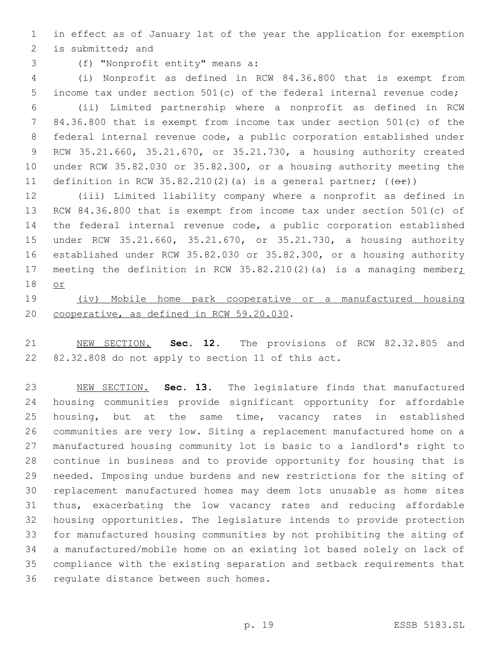in effect as of January 1st of the year the application for exemption 2 is submitted; and

(f) "Nonprofit entity" means a:3

 (i) Nonprofit as defined in RCW 84.36.800 that is exempt from income tax under section 501(c) of the federal internal revenue code; (ii) Limited partnership where a nonprofit as defined in RCW 84.36.800 that is exempt from income tax under section 501(c) of the federal internal revenue code, a public corporation established under RCW 35.21.660, 35.21.670, or 35.21.730, a housing authority created under RCW 35.82.030 or 35.82.300, or a housing authority meeting the 11 definition in RCW 35.82.210(2)(a) is a general partner;  $((\theta \cdot \hat{r}))$ 

 (iii) Limited liability company where a nonprofit as defined in RCW 84.36.800 that is exempt from income tax under section 501(c) of the federal internal revenue code, a public corporation established under RCW 35.21.660, 35.21.670, or 35.21.730, a housing authority established under RCW 35.82.030 or 35.82.300, or a housing authority 17 meeting the definition in RCW 35.82.210(2)(a) is a managing member; or

 (iv) Mobile home park cooperative or a manufactured housing 20 cooperative, as defined in RCW 59.20.030.

 NEW SECTION. **Sec. 12.** The provisions of RCW 82.32.805 and 82.32.808 do not apply to section 11 of this act.

 NEW SECTION. **Sec. 13.** The legislature finds that manufactured housing communities provide significant opportunity for affordable housing, but at the same time, vacancy rates in established communities are very low. Siting a replacement manufactured home on a manufactured housing community lot is basic to a landlord's right to continue in business and to provide opportunity for housing that is needed. Imposing undue burdens and new restrictions for the siting of replacement manufactured homes may deem lots unusable as home sites thus, exacerbating the low vacancy rates and reducing affordable housing opportunities. The legislature intends to provide protection for manufactured housing communities by not prohibiting the siting of a manufactured/mobile home on an existing lot based solely on lack of compliance with the existing separation and setback requirements that regulate distance between such homes.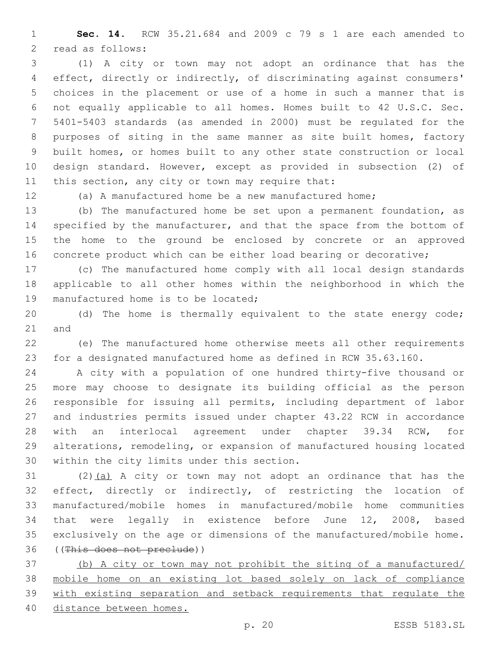**Sec. 14.** RCW 35.21.684 and 2009 c 79 s 1 are each amended to 2 read as follows:

 (1) A city or town may not adopt an ordinance that has the effect, directly or indirectly, of discriminating against consumers' choices in the placement or use of a home in such a manner that is not equally applicable to all homes. Homes built to 42 U.S.C. Sec. 5401-5403 standards (as amended in 2000) must be regulated for the purposes of siting in the same manner as site built homes, factory built homes, or homes built to any other state construction or local design standard. However, except as provided in subsection (2) of 11 this section, any city or town may require that:

(a) A manufactured home be a new manufactured home;

 (b) The manufactured home be set upon a permanent foundation, as 14 specified by the manufacturer, and that the space from the bottom of the home to the ground be enclosed by concrete or an approved concrete product which can be either load bearing or decorative;

 (c) The manufactured home comply with all local design standards applicable to all other homes within the neighborhood in which the 19 manufactured home is to be located;

 (d) The home is thermally equivalent to the state energy code; 21 and

 (e) The manufactured home otherwise meets all other requirements for a designated manufactured home as defined in RCW 35.63.160.

 A city with a population of one hundred thirty-five thousand or more may choose to designate its building official as the person responsible for issuing all permits, including department of labor and industries permits issued under chapter 43.22 RCW in accordance with an interlocal agreement under chapter 39.34 RCW, for alterations, remodeling, or expansion of manufactured housing located 30 within the city limits under this section.

31 (2) $(a)$  A city or town may not adopt an ordinance that has the effect, directly or indirectly, of restricting the location of manufactured/mobile homes in manufactured/mobile home communities that were legally in existence before June 12, 2008, based exclusively on the age or dimensions of the manufactured/mobile home. ((This does not preclude))

 (b) A city or town may not prohibit the siting of a manufactured/ mobile home on an existing lot based solely on lack of compliance with existing separation and setback requirements that regulate the distance between homes.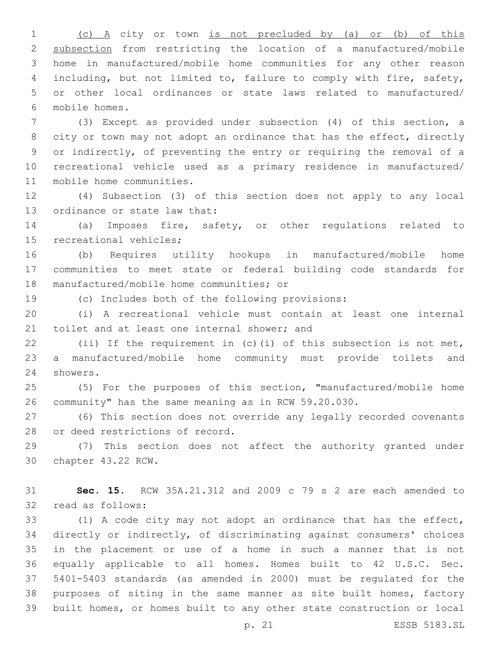(c) A city or town is not precluded by (a) or (b) of this subsection from restricting the location of a manufactured/mobile home in manufactured/mobile home communities for any other reason including, but not limited to, failure to comply with fire, safety, or other local ordinances or state laws related to manufactured/ mobile homes.6

 (3) Except as provided under subsection (4) of this section, a 8 city or town may not adopt an ordinance that has the effect, directly or indirectly, of preventing the entry or requiring the removal of a recreational vehicle used as a primary residence in manufactured/ 11 mobile home communities.

 (4) Subsection (3) of this section does not apply to any local 13 ordinance or state law that:

 (a) Imposes fire, safety, or other regulations related to 15 recreational vehicles;

 (b) Requires utility hookups in manufactured/mobile home communities to meet state or federal building code standards for 18 manufactured/mobile home communities; or

(c) Includes both of the following provisions:

 (i) A recreational vehicle must contain at least one internal 21 toilet and at least one internal shower; and

 (ii) If the requirement in (c)(i) of this subsection is not met, a manufactured/mobile home community must provide toilets and 24 showers.

 (5) For the purposes of this section, "manufactured/mobile home community" has the same meaning as in RCW 59.20.030.

 (6) This section does not override any legally recorded covenants 28 or deed restrictions of record.

 (7) This section does not affect the authority granted under 30 chapter 43.22 RCW.

 **Sec. 15.** RCW 35A.21.312 and 2009 c 79 s 2 are each amended to 32 read as follows:

 (1) A code city may not adopt an ordinance that has the effect, directly or indirectly, of discriminating against consumers' choices in the placement or use of a home in such a manner that is not equally applicable to all homes. Homes built to 42 U.S.C. Sec. 5401-5403 standards (as amended in 2000) must be regulated for the purposes of siting in the same manner as site built homes, factory built homes, or homes built to any other state construction or local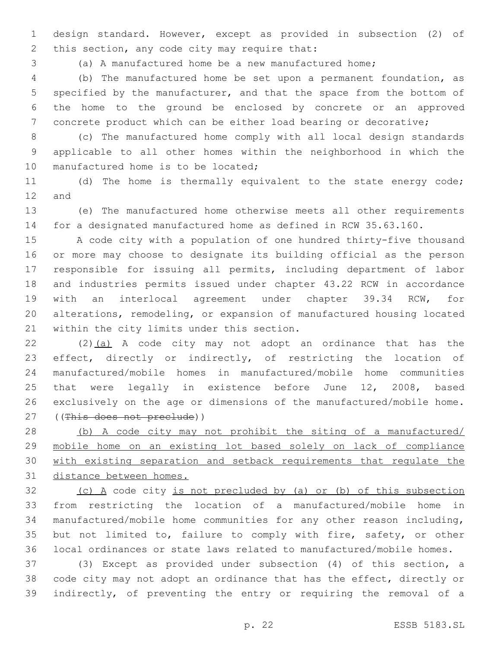design standard. However, except as provided in subsection (2) of 2 this section, any code city may require that:

(a) A manufactured home be a new manufactured home;

 (b) The manufactured home be set upon a permanent foundation, as specified by the manufacturer, and that the space from the bottom of the home to the ground be enclosed by concrete or an approved concrete product which can be either load bearing or decorative;

 (c) The manufactured home comply with all local design standards applicable to all other homes within the neighborhood in which the 10 manufactured home is to be located;

 (d) The home is thermally equivalent to the state energy code; 12 and

 (e) The manufactured home otherwise meets all other requirements for a designated manufactured home as defined in RCW 35.63.160.

 A code city with a population of one hundred thirty-five thousand or more may choose to designate its building official as the person responsible for issuing all permits, including department of labor and industries permits issued under chapter 43.22 RCW in accordance with an interlocal agreement under chapter 39.34 RCW, for alterations, remodeling, or expansion of manufactured housing located 21 within the city limits under this section.

22 (2)(a) A code city may not adopt an ordinance that has the effect, directly or indirectly, of restricting the location of manufactured/mobile homes in manufactured/mobile home communities that were legally in existence before June 12, 2008, based exclusively on the age or dimensions of the manufactured/mobile home. ((This does not preclude))

 (b) A code city may not prohibit the siting of a manufactured/ mobile home on an existing lot based solely on lack of compliance with existing separation and setback requirements that regulate the distance between homes.

 (c) A code city is not precluded by (a) or (b) of this subsection from restricting the location of a manufactured/mobile home in manufactured/mobile home communities for any other reason including, but not limited to, failure to comply with fire, safety, or other local ordinances or state laws related to manufactured/mobile homes.

 (3) Except as provided under subsection (4) of this section, a code city may not adopt an ordinance that has the effect, directly or indirectly, of preventing the entry or requiring the removal of a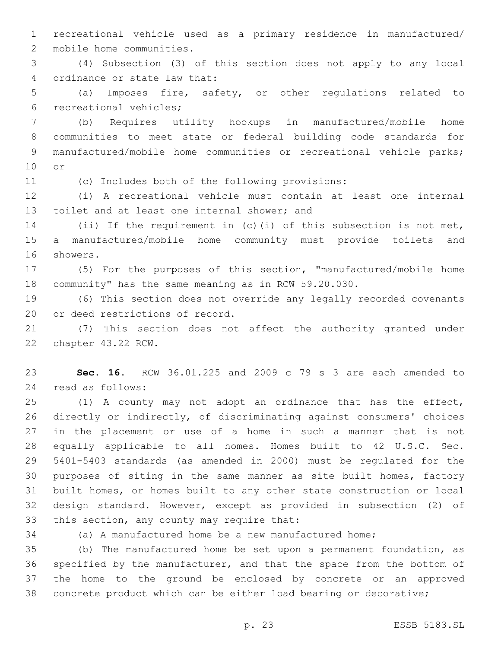recreational vehicle used as a primary residence in manufactured/ 2 mobile home communities.

 (4) Subsection (3) of this section does not apply to any local 4 ordinance or state law that:

 (a) Imposes fire, safety, or other regulations related to 6 recreational vehicles;

 (b) Requires utility hookups in manufactured/mobile home communities to meet state or federal building code standards for 9 manufactured/mobile home communities or recreational vehicle parks; 10 or

(c) Includes both of the following provisions:

 (i) A recreational vehicle must contain at least one internal 13 toilet and at least one internal shower; and

 (ii) If the requirement in (c)(i) of this subsection is not met, a manufactured/mobile home community must provide toilets and 16 showers.

 (5) For the purposes of this section, "manufactured/mobile home community" has the same meaning as in RCW 59.20.030.

 (6) This section does not override any legally recorded covenants 20 or deed restrictions of record.

 (7) This section does not affect the authority granted under 22 chapter 43.22 RCW.

 **Sec. 16.** RCW 36.01.225 and 2009 c 79 s 3 are each amended to 24 read as follows:

 (1) A county may not adopt an ordinance that has the effect, directly or indirectly, of discriminating against consumers' choices in the placement or use of a home in such a manner that is not equally applicable to all homes. Homes built to 42 U.S.C. Sec. 5401-5403 standards (as amended in 2000) must be regulated for the purposes of siting in the same manner as site built homes, factory built homes, or homes built to any other state construction or local design standard. However, except as provided in subsection (2) of 33 this section, any county may require that:

(a) A manufactured home be a new manufactured home;

 (b) The manufactured home be set upon a permanent foundation, as specified by the manufacturer, and that the space from the bottom of the home to the ground be enclosed by concrete or an approved concrete product which can be either load bearing or decorative;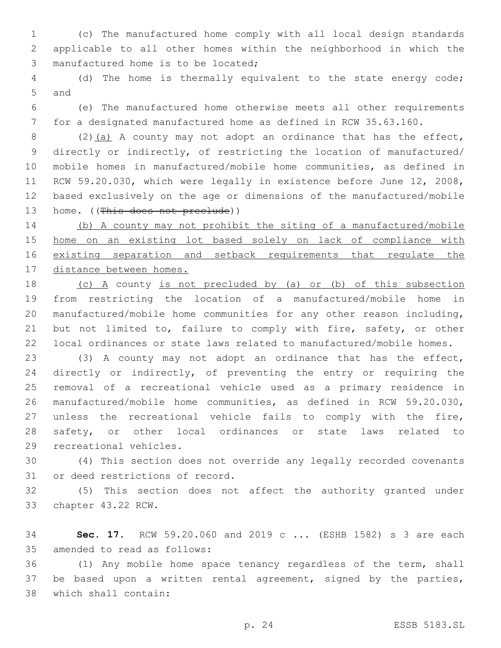(c) The manufactured home comply with all local design standards applicable to all other homes within the neighborhood in which the 3 manufactured home is to be located;

 (d) The home is thermally equivalent to the state energy code; 5 and

 (e) The manufactured home otherwise meets all other requirements for a designated manufactured home as defined in RCW 35.63.160.

8 (2)(a) A county may not adopt an ordinance that has the effect, directly or indirectly, of restricting the location of manufactured/ mobile homes in manufactured/mobile home communities, as defined in RCW 59.20.030, which were legally in existence before June 12, 2008, based exclusively on the age or dimensions of the manufactured/mobile 13 home. ((This does not preclude))

 (b) A county may not prohibit the siting of a manufactured/mobile home on an existing lot based solely on lack of compliance with existing separation and setback requirements that regulate the distance between homes.

 (c) A county is not precluded by (a) or (b) of this subsection from restricting the location of a manufactured/mobile home in manufactured/mobile home communities for any other reason including, 21 but not limited to, failure to comply with fire, safety, or other local ordinances or state laws related to manufactured/mobile homes.

 (3) A county may not adopt an ordinance that has the effect, directly or indirectly, of preventing the entry or requiring the removal of a recreational vehicle used as a primary residence in manufactured/mobile home communities, as defined in RCW 59.20.030, unless the recreational vehicle fails to comply with the fire, safety, or other local ordinances or state laws related to 29 recreational vehicles.

 (4) This section does not override any legally recorded covenants 31 or deed restrictions of record.

 (5) This section does not affect the authority granted under 33 chapter 43.22 RCW.

 **Sec. 17.** RCW 59.20.060 and 2019 c ... (ESHB 1582) s 3 are each 35 amended to read as follows:

 (1) Any mobile home space tenancy regardless of the term, shall be based upon a written rental agreement, signed by the parties, which shall contain:38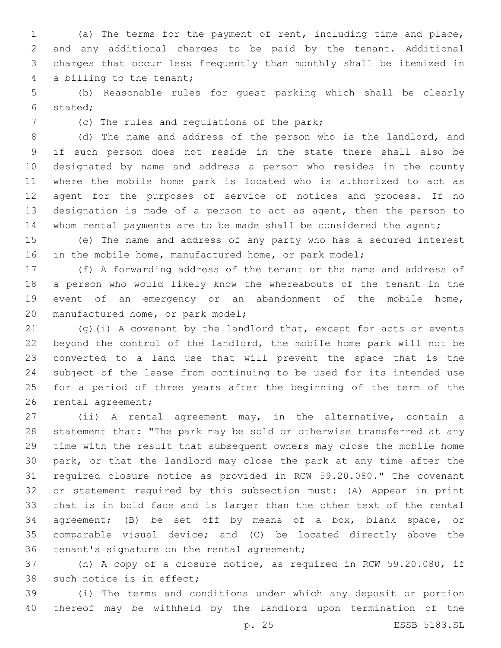(a) The terms for the payment of rent, including time and place, and any additional charges to be paid by the tenant. Additional charges that occur less frequently than monthly shall be itemized in 4 a billing to the tenant;

 (b) Reasonable rules for guest parking which shall be clearly stated;6

7 (c) The rules and regulations of the park;

 (d) The name and address of the person who is the landlord, and if such person does not reside in the state there shall also be designated by name and address a person who resides in the county where the mobile home park is located who is authorized to act as agent for the purposes of service of notices and process. If no designation is made of a person to act as agent, then the person to whom rental payments are to be made shall be considered the agent;

 (e) The name and address of any party who has a secured interest 16 in the mobile home, manufactured home, or park model;

 (f) A forwarding address of the tenant or the name and address of a person who would likely know the whereabouts of the tenant in the event of an emergency or an abandonment of the mobile home, 20 manufactured home, or park model;

21 (g)(i) A covenant by the landlord that, except for acts or events beyond the control of the landlord, the mobile home park will not be converted to a land use that will prevent the space that is the subject of the lease from continuing to be used for its intended use for a period of three years after the beginning of the term of the 26 rental agreement;

 (ii) A rental agreement may, in the alternative, contain a statement that: "The park may be sold or otherwise transferred at any time with the result that subsequent owners may close the mobile home park, or that the landlord may close the park at any time after the required closure notice as provided in RCW 59.20.080." The covenant or statement required by this subsection must: (A) Appear in print that is in bold face and is larger than the other text of the rental agreement; (B) be set off by means of a box, blank space, or comparable visual device; and (C) be located directly above the 36 tenant's signature on the rental agreement;

 (h) A copy of a closure notice, as required in RCW 59.20.080, if 38 such notice is in effect;

 (i) The terms and conditions under which any deposit or portion thereof may be withheld by the landlord upon termination of the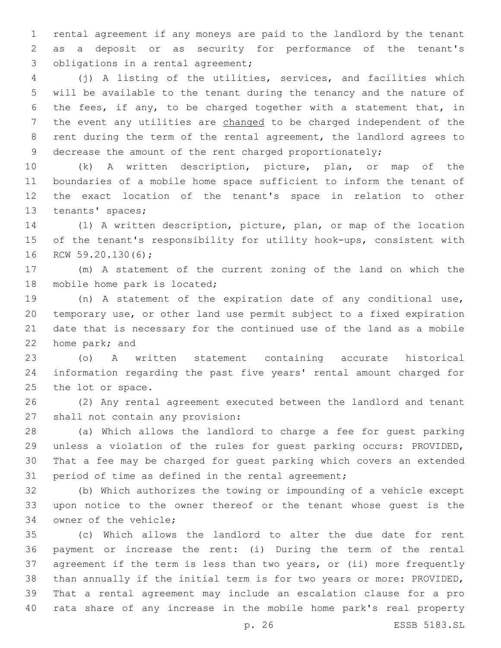rental agreement if any moneys are paid to the landlord by the tenant as a deposit or as security for performance of the tenant's 3 obligations in a rental agreement;

 (j) A listing of the utilities, services, and facilities which will be available to the tenant during the tenancy and the nature of the fees, if any, to be charged together with a statement that, in the event any utilities are changed to be charged independent of the rent during the term of the rental agreement, the landlord agrees to 9 decrease the amount of the rent charged proportionately;

 (k) A written description, picture, plan, or map of the boundaries of a mobile home space sufficient to inform the tenant of the exact location of the tenant's space in relation to other 13 tenants' spaces;

 (l) A written description, picture, plan, or map of the location of the tenant's responsibility for utility hook-ups, consistent with 16 RCW 59.20.130(6);

 (m) A statement of the current zoning of the land on which the 18 mobile home park is located;

 (n) A statement of the expiration date of any conditional use, temporary use, or other land use permit subject to a fixed expiration date that is necessary for the continued use of the land as a mobile 22 home park; and

 (o) A written statement containing accurate historical information regarding the past five years' rental amount charged for 25 the lot or space.

 (2) Any rental agreement executed between the landlord and tenant 27 shall not contain any provision:

 (a) Which allows the landlord to charge a fee for guest parking unless a violation of the rules for guest parking occurs: PROVIDED, That a fee may be charged for guest parking which covers an extended period of time as defined in the rental agreement;

 (b) Which authorizes the towing or impounding of a vehicle except upon notice to the owner thereof or the tenant whose guest is the 34 owner of the vehicle;

 (c) Which allows the landlord to alter the due date for rent payment or increase the rent: (i) During the term of the rental agreement if the term is less than two years, or (ii) more frequently than annually if the initial term is for two years or more: PROVIDED, That a rental agreement may include an escalation clause for a pro rata share of any increase in the mobile home park's real property

p. 26 ESSB 5183.SL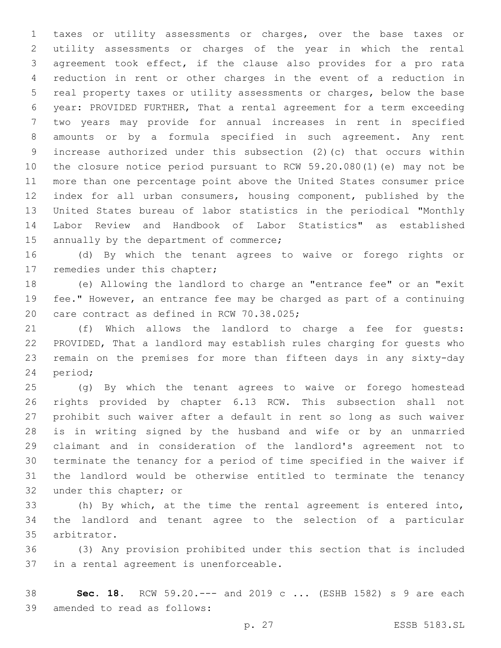taxes or utility assessments or charges, over the base taxes or utility assessments or charges of the year in which the rental agreement took effect, if the clause also provides for a pro rata reduction in rent or other charges in the event of a reduction in real property taxes or utility assessments or charges, below the base year: PROVIDED FURTHER, That a rental agreement for a term exceeding two years may provide for annual increases in rent in specified amounts or by a formula specified in such agreement. Any rent increase authorized under this subsection (2)(c) that occurs within the closure notice period pursuant to RCW 59.20.080(1)(e) may not be more than one percentage point above the United States consumer price index for all urban consumers, housing component, published by the United States bureau of labor statistics in the periodical "Monthly Labor Review and Handbook of Labor Statistics" as established 15 annually by the department of commerce;

 (d) By which the tenant agrees to waive or forego rights or 17 remedies under this chapter;

 (e) Allowing the landlord to charge an "entrance fee" or an "exit fee." However, an entrance fee may be charged as part of a continuing 20 care contract as defined in RCW 70.38.025;

 (f) Which allows the landlord to charge a fee for guests: PROVIDED, That a landlord may establish rules charging for guests who remain on the premises for more than fifteen days in any sixty-day 24 period;

 (g) By which the tenant agrees to waive or forego homestead rights provided by chapter 6.13 RCW. This subsection shall not prohibit such waiver after a default in rent so long as such waiver is in writing signed by the husband and wife or by an unmarried claimant and in consideration of the landlord's agreement not to terminate the tenancy for a period of time specified in the waiver if the landlord would be otherwise entitled to terminate the tenancy 32 under this chapter; or

 (h) By which, at the time the rental agreement is entered into, the landlord and tenant agree to the selection of a particular 35 arbitrator.

 (3) Any provision prohibited under this section that is included 37 in a rental agreement is unenforceable.

 **Sec. 18.** RCW 59.20.--- and 2019 c ... (ESHB 1582) s 9 are each 39 amended to read as follows: